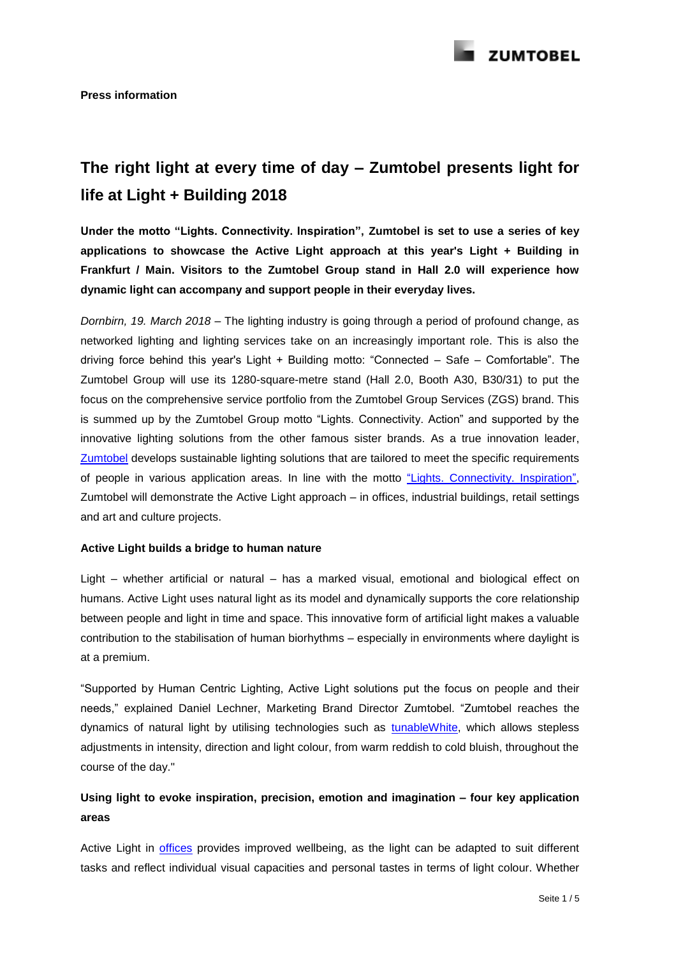

# **The right light at every time of day – Zumtobel presents light for life at Light + Building 2018**

**Under the motto "Lights. Connectivity. Inspiration", Zumtobel is set to use a series of key applications to showcase the Active Light approach at this year's Light + Building in Frankfurt / Main. Visitors to the Zumtobel Group stand in Hall 2.0 will experience how dynamic light can accompany and support people in their everyday lives.**

*Dornbirn, 19. March 2018 –* The lighting industry is going through a period of profound change, as networked lighting and lighting services take on an increasingly important role. This is also the driving force behind this year's Light + Building motto: "Connected – Safe – Comfortable". The Zumtobel Group will use its 1280-square-metre stand (Hall 2.0, Booth A30, B30/31) to put the focus on the comprehensive service portfolio from the Zumtobel Group Services (ZGS) brand. This is summed up by the Zumtobel Group motto "Lights. Connectivity. Action" and supported by the innovative lighting solutions from the other famous sister brands. As a true innovation leader, [Zumtobel](http://www.zumtobel.com/) develops sustainable lighting solutions that are tailored to meet the specific requirements of people in various application areas. In line with the motto ["Lights. Connectivity. Inspiration",](http://lightbuilding.zumtobelgroup.com/en) Zumtobel will demonstrate the Active Light approach – in offices, industrial buildings, retail settings and art and culture projects.

#### **Active Light builds a bridge to human nature**

Light – whether artificial or natural – has a marked visual, emotional and biological effect on humans. Active Light uses natural light as its model and dynamically supports the core relationship between people and light in time and space. This innovative form of artificial light makes a valuable contribution to the stabilisation of human biorhythms – especially in environments where daylight is at a premium.

"Supported by Human Centric Lighting, Active Light solutions put the focus on people and their needs," explained Daniel Lechner, Marketing Brand Director Zumtobel. "Zumtobel reaches the dynamics of natural light by utilising technologies such as [tunableWhite,](https://youtu.be/34dp1AHQxJY) which allows stepless adjustments in intensity, direction and light colour, from warm reddish to cold bluish, throughout the course of the day."

## **Using light to evoke inspiration, precision, emotion and imagination – four key application areas**

Active Light in [offices](http://www.zumtobel.com/com-en/active-light-offices-communications.html) provides improved wellbeing, as the light can be adapted to suit different tasks and reflect individual visual capacities and personal tastes in terms of light colour. Whether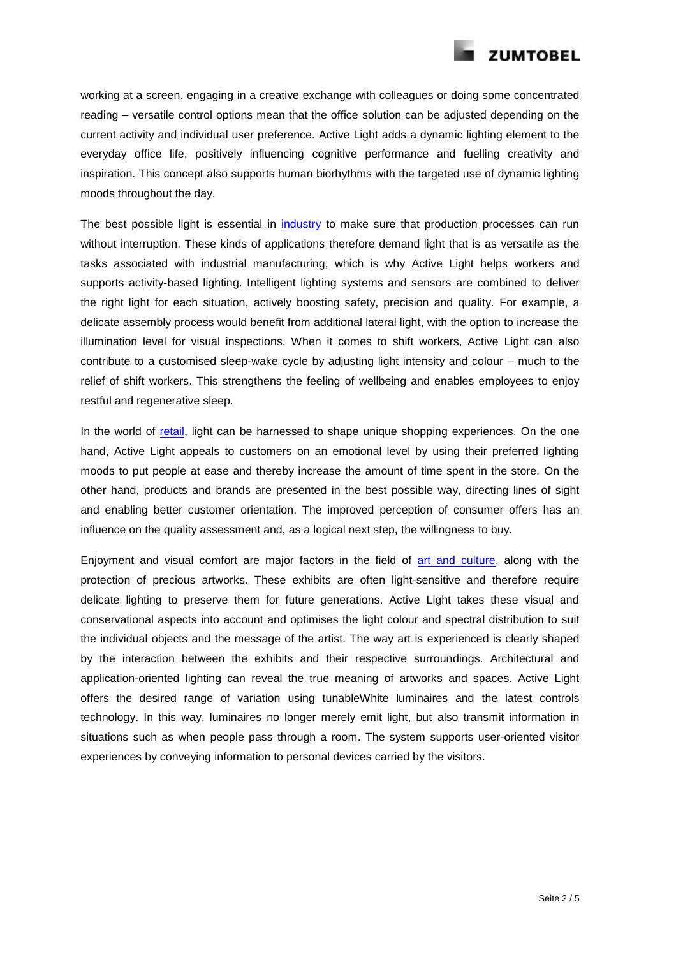

working at a screen, engaging in a creative exchange with colleagues or doing some concentrated reading – versatile control options mean that the office solution can be adjusted depending on the current activity and individual user preference. Active Light adds a dynamic lighting element to the everyday office life, positively influencing cognitive performance and fuelling creativity and inspiration. This concept also supports human biorhythms with the targeted use of dynamic lighting moods throughout the day.

The best possible light is essential in [industry](http://www.zumtobel.com/com-en/active-light-industry-engineering.html) to make sure that production processes can run without interruption. These kinds of applications therefore demand light that is as versatile as the tasks associated with industrial manufacturing, which is why Active Light helps workers and supports activity-based lighting. Intelligent lighting systems and sensors are combined to deliver the right light for each situation, actively boosting safety, precision and quality. For example, a delicate assembly process would benefit from additional lateral light, with the option to increase the illumination level for visual inspections. When it comes to shift workers, Active Light can also contribute to a customised sleep-wake cycle by adjusting light intensity and colour – much to the relief of shift workers. This strengthens the feeling of wellbeing and enables employees to enjoy restful and regenerative sleep.

In the world of [retail,](http://www.zumtobel.com/com-en/active-light-presentation-retail.html) light can be harnessed to shape unique shopping experiences. On the one hand, Active Light appeals to customers on an emotional level by using their preferred lighting moods to put people at ease and thereby increase the amount of time spent in the store. On the other hand, products and brands are presented in the best possible way, directing lines of sight and enabling better customer orientation. The improved perception of consumer offers has an influence on the quality assessment and, as a logical next step, the willingness to buy.

Enjoyment and visual comfort are major factors in the field of [art and culture,](http://www.zumtobel.com/com-en/active-light-art-culture.html) along with the protection of precious artworks. These exhibits are often light-sensitive and therefore require delicate lighting to preserve them for future generations. Active Light takes these visual and conservational aspects into account and optimises the light colour and spectral distribution to suit the individual objects and the message of the artist. The way art is experienced is clearly shaped by the interaction between the exhibits and their respective surroundings. Architectural and application-oriented lighting can reveal the true meaning of artworks and spaces. Active Light offers the desired range of variation using tunableWhite luminaires and the latest controls technology. In this way, luminaires no longer merely emit light, but also transmit information in situations such as when people pass through a room. The system supports user-oriented visitor experiences by conveying information to personal devices carried by the visitors.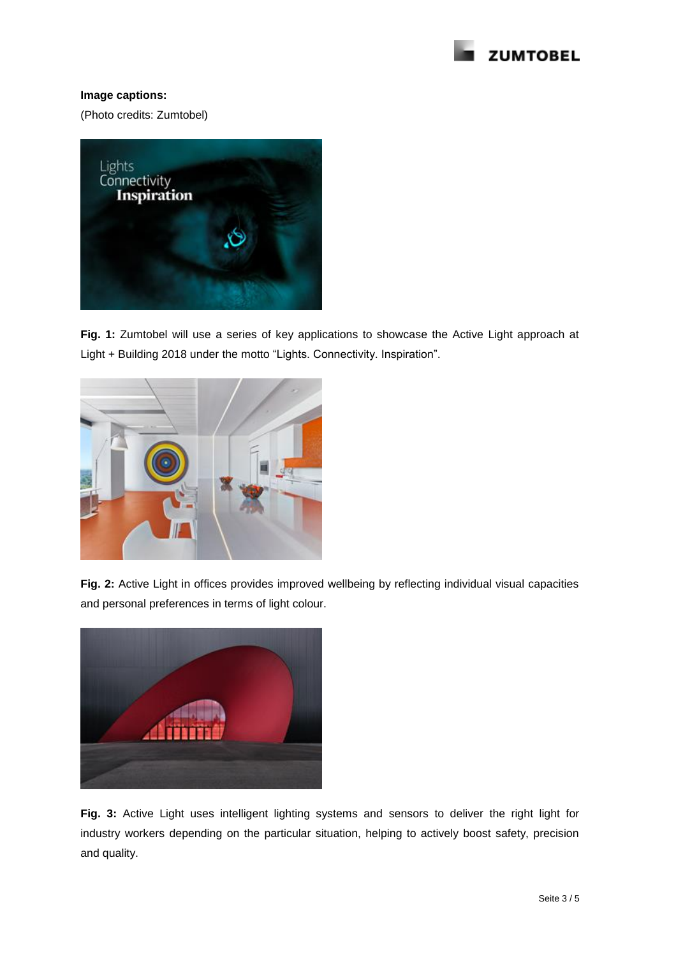

### **Image captions:**

(Photo credits: Zumtobel)



**Fig. 1:** Zumtobel will use a series of key applications to showcase the Active Light approach at Light + Building 2018 under the motto "Lights. Connectivity. Inspiration".



**Fig. 2:** Active Light in offices provides improved wellbeing by reflecting individual visual capacities and personal preferences in terms of light colour.



**Fig. 3:** Active Light uses intelligent lighting systems and sensors to deliver the right light for industry workers depending on the particular situation, helping to actively boost safety, precision and quality.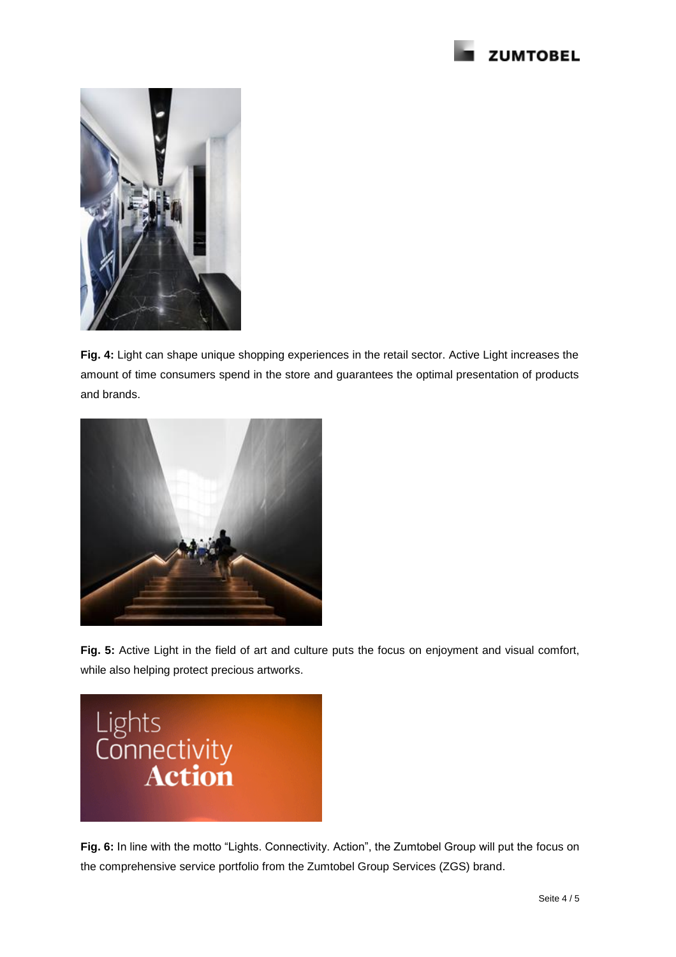



**Fig. 4:** Light can shape unique shopping experiences in the retail sector. Active Light increases the amount of time consumers spend in the store and guarantees the optimal presentation of products and brands.



**Fig. 5:** Active Light in the field of art and culture puts the focus on enjoyment and visual comfort, while also helping protect precious artworks.



Fig. 6: In line with the motto "Lights. Connectivity. Action", the Zumtobel Group will put the focus on the comprehensive service portfolio from the Zumtobel Group Services (ZGS) brand.